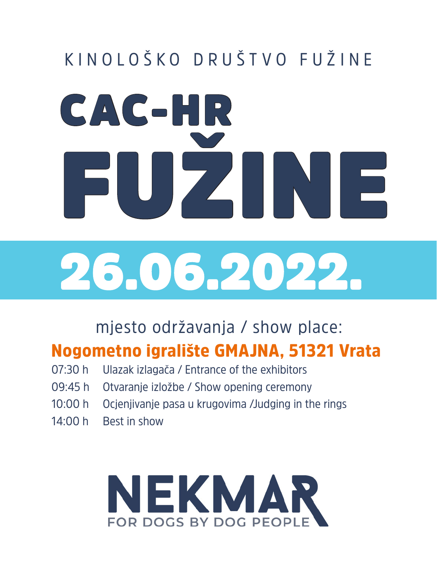### KINOLOŠKO DRUŠTVO FUŽINE

# CAC-HR FUŽINE 26.06.2022.

mjesto održavanja / show place:

#### Nogometno igralište GMAJNA, 51321 Vrata

- 07:30 h Ulazak izlagača / Entrance of the exhibitors
- 09:45 h Otvaranje izložbe / Show opening ceremony
- 10:00 h Ocjenjivanje pasa u krugovima /Judging in the rings
- 14:00 h Best in show

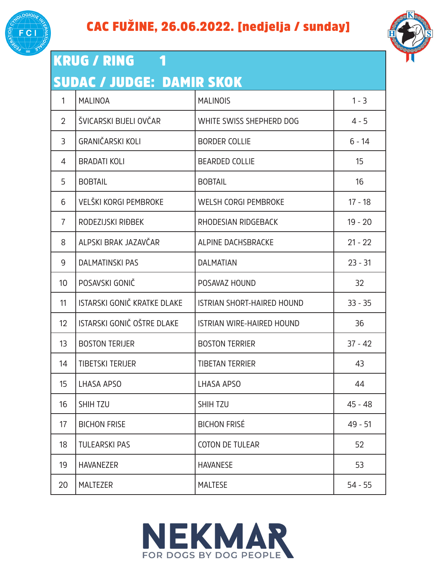



#### KRUG / RING 1 SUDAC / JUDGE: DAMIR SKOK 1 MALINOA MALINOIS 1 - 3 2 | ŠVICARSKI BIJELI OVČAR | WHITE SWISS SHEPHERD DOG | 4 - 5 3 GRANIČARSKI KOLI BORDER COLLIE 6 - 14 4 BRADATI KOLI BEARDED COLLIE 15 5 BOBTAIL BOBTAIL 16 6 VELŠKI KORGI PEMBROKE WELSH CORGI PEMBROKE 17 - 18 7 RODEZIJSKI RIĐBEK RHODESIAN RIDGEBACK NA 19 - 20 8 ALPSKI BRAK JAZAVČAR ALPINE DACHSBRACKE ALPINE OLI 21 - 22 9 DALMATINSKI PAS DALMATIAN 23 - 31 10 POSAVSKI GONIČ POSAVAZ HOUND 32 11 ISTARSKI GONIČ KRATKE DLAKE ISTRIAN SHORT-HAIRED HOUND 133 - 35 12 I ISTARSKI GONIČ OŠTRE DLAKE I ISTRIAN WIRE-HAIRED HOUND I 196 13 BOSTON TERIJER BOSTON TERRIER BOSTON TERRIER 137 - 42 14 TIBETSKI TERIJER TIBETAN TERRIER 43 15 LHASA APSO LHASA APSO 44 16 SHIH TZU SHIH TZU 45 - 48 17 BICHON FRISE BICHON FRISÉ NEUROS (199-51 18 TULEARSKI PAS COTON DE TULEAR 52 19 HAVANEZER HAVANESE 53



20 MALTEZER MALTESE 54 - 55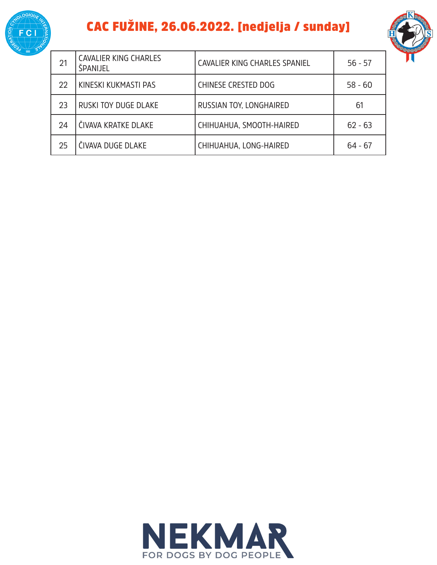

#### CAC FUŽINE, 26.06.2022. [nedjelja / sunday]



| 21 | <b>CAVALIER KING CHARLES</b><br>ŠPANIJEL | CAVALIER KING CHARLES SPANIEL | $56 - 57$ |
|----|------------------------------------------|-------------------------------|-----------|
| 22 | KINESKI KUKMASTI PAS                     | <b>CHINESE CRESTED DOG</b>    | $58 - 60$ |
| 23 | RUSKI TOY DUGE DLAKE                     | RUSSIAN TOY, LONGHAIRED       | 61        |
| 24 | ČIVAVA KRATKE DLAKE                      | CHIHUAHUA, SMOOTH-HAIRED      | $62 - 63$ |
| 25 | ČIVAVA DUGE DLAKE                        | CHIHUAHUA, LONG-HAIRED        | $64 - 67$ |

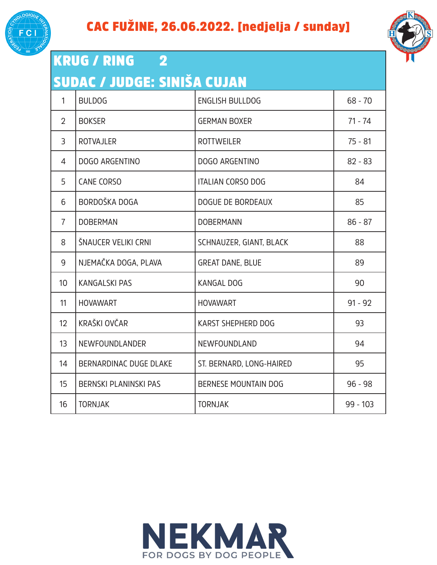



| <b>KRUG / RING</b><br>$\overline{\mathbf{2}}$ |                              |                             |            |
|-----------------------------------------------|------------------------------|-----------------------------|------------|
| SUDAC / JUDGE: SINIŠA CUJAN                   |                              |                             |            |
| $\mathbf{1}$                                  | <b>BULDOG</b>                | <b>ENGLISH BULLDOG</b>      | $68 - 70$  |
| $\overline{2}$                                | <b>BOKSER</b>                | <b>GERMAN BOXER</b>         | $71 - 74$  |
| 3                                             | <b>ROTVAJLER</b>             | <b>ROTTWEILER</b>           | $75 - 81$  |
| 4                                             | DOGO ARGENTINO               | DOGO ARGENTINO              | $82 - 83$  |
| 5                                             | <b>CANE CORSO</b>            | <b>ITALIAN CORSO DOG</b>    | 84         |
| 6                                             | BORDOŠKA DOGA                | <b>DOGUE DE BORDEAUX</b>    | 85         |
| $\overline{7}$                                | <b>DOBERMAN</b>              | <b>DOBERMANN</b>            | $86 - 87$  |
| 8                                             | ŠNAUCER VELIKI CRNI          | SCHNAUZER, GIANT, BLACK     | 88         |
| 9                                             | NJEMAČKA DOGA, PLAVA         | <b>GREAT DANE, BLUE</b>     | 89         |
| 10 <sup>°</sup>                               | <b>KANGALSKI PAS</b>         | <b>KANGAL DOG</b>           | 90         |
| 11                                            | <b>HOVAWART</b>              | <b>HOVAWART</b>             | $91 - 92$  |
| 12 <sup>°</sup>                               | KRAŠKI OVČAR                 | KARST SHEPHERD DOG          | 93         |
| 13                                            | NEWFOUNDLANDER               | NEWFOUNDLAND                | 94         |
| 14                                            | BERNARDINAC DUGE DLAKE       | ST. BERNARD, LONG-HAIRED    | 95         |
| 15                                            | <b>BERNSKI PLANINSKI PAS</b> | <b>BERNESE MOUNTAIN DOG</b> | $96 - 98$  |
| 16                                            | <b>TORNJAK</b>               | <b>TORNJAK</b>              | $99 - 103$ |

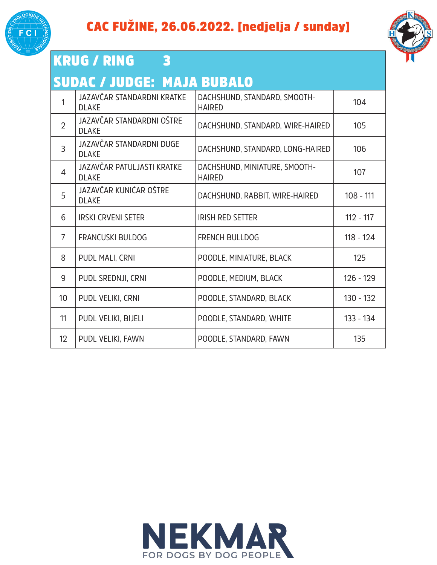



| <b>KRUG / RING</b><br>3 |                                            |                                                |             |
|-------------------------|--------------------------------------------|------------------------------------------------|-------------|
|                         | <b>SUDAC / JUDGE: MAJA BUBALO</b>          |                                                |             |
| $\mathbf{1}$            | JAZAVČAR STANDARDNI KRATKE<br><b>DLAKE</b> | DACHSHUND, STANDARD, SMOOTH-<br><b>HAIRED</b>  | 104         |
| $\overline{2}$          | JAZAVČAR STANDARDNI OŠTRE<br><b>DLAKE</b>  | DACHSHUND, STANDARD, WIRE-HAIRED               | 105         |
| $\overline{3}$          | JAZAVČAR STANDARDNI DUGE<br><b>DLAKE</b>   | DACHSHUND, STANDARD, LONG-HAIRED               | 106         |
| $\overline{4}$          | JAZAVČAR PATULJASTI KRATKE<br><b>DLAKE</b> | DACHSHUND, MINIATURE, SMOOTH-<br><b>HAIRED</b> | 107         |
| 5                       | JAZAVČAR KUNIĆAR OŠTRE<br><b>DLAKE</b>     | DACHSHUND, RABBIT, WIRE-HAIRED                 | $108 - 111$ |
| 6                       | <b>IRSKI CRVENI SETER</b>                  | <b>IRISH RED SETTER</b>                        | $112 - 117$ |
| $\overline{7}$          | <b>FRANCUSKI BULDOG</b>                    | <b>FRENCH BULLDOG</b>                          | $118 - 124$ |
| 8                       | PUDL MALI, CRNI                            | POODLE, MINIATURE, BLACK                       | 125         |
| 9                       | PUDL SREDNJI, CRNI                         | POODLE, MEDIUM, BLACK                          | $126 - 129$ |
| 10 <sup>°</sup>         | PUDL VELIKI, CRNI                          | POODLE, STANDARD, BLACK                        | $130 - 132$ |
| 11                      | PUDL VELIKI, BIJELI                        | POODLE, STANDARD, WHITE                        | 133 - 134   |
| 12                      | PUDL VELIKI, FAWN                          | POODLE, STANDARD, FAWN                         | 135         |

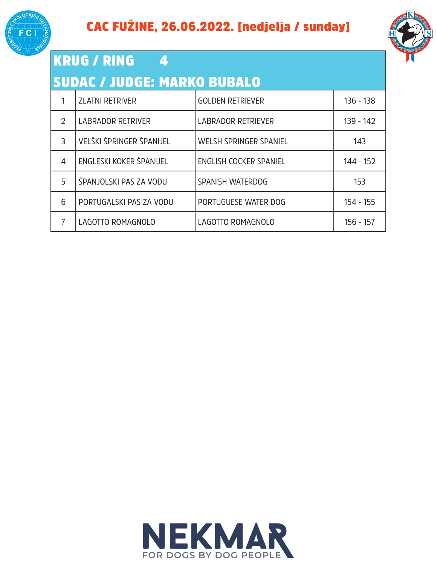



| KRUG / RING<br><b>SUDAC / JUDGE: MARKO BUBALO</b> |                    |
|---------------------------------------------------|--------------------|
| <b>ZLATNI RETRIVER</b>                            | l GOLDEN RETRIEVER |

|                | <b>ZLATNI RETRIVER</b>   | <b>GOLDEN RETRIEVER</b>   | $136 - 138$ |
|----------------|--------------------------|---------------------------|-------------|
| $\overline{2}$ | <b>LABRADOR RETRIVER</b> | <b>LABRADOR RETRIEVER</b> | 139 - 142   |
| 3              | VELŠKI ŠPRINGER ŠPANIJEL | WELSH SPRINGER SPANIEL    | 143         |
| 4              | ENGLESKI KOKER ŠPANIJEL  | ENGLISH COCKER SPANIEL    | 144 - 152   |
| 5              | ŠPANJOLSKI PAS ZA VODU   | SPANISH WATERDOG          | 153         |
| 6              | PORTUGALSKI PAS ZA VODU  | PORTUGUESE WATER DOG      | 154 - 155   |
|                | LAGOTTO ROMAGNOLO        | LAGOTTO ROMAGNOLO         | $156 - 157$ |

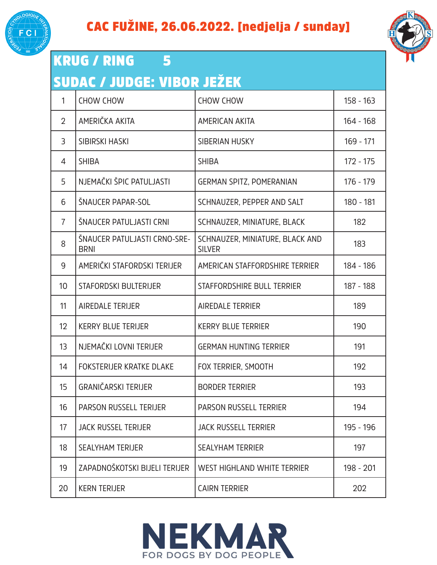



| <b>KRUG / RING</b><br>5<br>SUDAC / JUDGE: VIBOR JEŽEK |                                             |                                                  |             |
|-------------------------------------------------------|---------------------------------------------|--------------------------------------------------|-------------|
| $\mathbf{1}$                                          | <b>CHOW CHOW</b>                            | <b>CHOW CHOW</b>                                 | $158 - 163$ |
| $\overline{2}$                                        | AMERIČKA AKITA                              | <b>AMERICAN AKITA</b>                            | $164 - 168$ |
| 3                                                     | <b>SIBIRSKI HASKI</b>                       | SIBERIAN HUSKY                                   | 169 - 171   |
| 4                                                     | <b>SHIBA</b>                                | <b>SHIBA</b>                                     | $172 - 175$ |
| 5                                                     | NJEMAČKI ŠPIC PATULJASTI                    | <b>GERMAN SPITZ, POMERANIAN</b>                  | 176 - 179   |
| 6                                                     | ŠNAUCER PAPAR-SOL                           | SCHNAUZER, PEPPER AND SALT                       | 180 - 181   |
| $\overline{7}$                                        | ŠNAUCER PATULJASTI CRNI                     | SCHNAUZER, MINIATURE, BLACK                      | 182         |
| 8                                                     | ŠNAUCER PATULJASTI CRNO-SRE-<br><b>BRNI</b> | SCHNAUZER, MINIATURE, BLACK AND<br><b>SILVER</b> | 183         |
| 9                                                     | AMERIČKI STAFORDSKI TERIJER                 | AMERICAN STAFFORDSHIRE TERRIER                   | 184 - 186   |
| 10                                                    | STAFORDSKI BULTERIJER                       | STAFFORDSHIRE BULL TERRIER                       | 187 - 188   |
| 11                                                    | <b>AIREDALE TERIJER</b>                     | <b>AIREDALE TERRIER</b>                          | 189         |
| 12                                                    | <b>KERRY BLUE TERIJER</b>                   | <b>KERRY BLUE TERRIER</b>                        | 190         |
| 13                                                    | NJEMAČKI LOVNI TERIJER                      | <b>GERMAN HUNTING TERRIER</b>                    | 191         |
| 14                                                    | FOKSTERIJER KRATKE DLAKE                    | FOX TERRIER, SMOOTH                              | 192         |
| 15                                                    | <b>GRANIČARSKI TERIJER</b>                  | <b>BORDER TERRIER</b>                            | 193         |
| 16                                                    | <b>PARSON RUSSELL TERIJER</b>               | <b>PARSON RUSSELL TERRIER</b>                    | 194         |
| 17                                                    | <b>JACK RUSSEL TERIJER</b>                  | <b>JACK RUSSELL TERRIER</b>                      | 195 - 196   |
| 18                                                    | <b>SEALYHAM TERIJER</b>                     | <b>SEALYHAM TERRIER</b>                          | 197         |
| 19                                                    | ZAPADNOŠKOTSKI BIJELI TERIJER               | WEST HIGHLAND WHITE TERRIER                      | 198 - 201   |



20 KERN TERIJER CAIRN TERRIER 202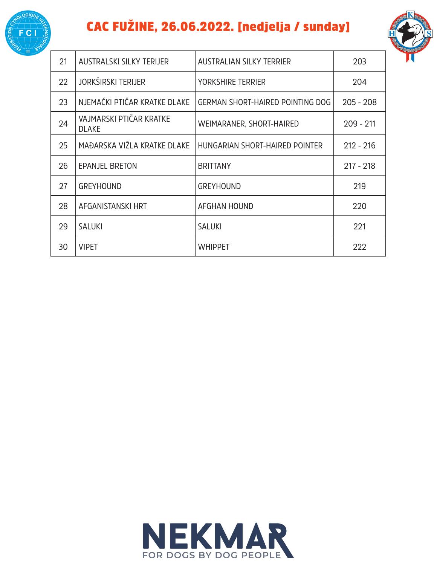

#### CAC FUŽINE, 26.06.2022. [nedjelja / sunday]



| 21 | AUSTRALSKI SILKY TERIJER                | <b>AUSTRALIAN SILKY TERRIER</b>  | 203         |
|----|-----------------------------------------|----------------------------------|-------------|
| 22 | <b>JORKŠIRSKI TERIJER</b>               | YORKSHIRE TERRIER                | 204         |
| 23 | NJEMAČKI PTIČAR KRATKE DLAKE            | GERMAN SHORT-HAIRED POINTING DOG | $205 - 208$ |
| 24 | VAJMARSKI PTIČAR KRATKE<br><b>DLAKE</b> | WEIMARANER, SHORT-HAIRED         | $209 - 211$ |
| 25 | MAĐARSKA VIŽLA KRATKE DLAKE             | HUNGARIAN SHORT-HAIRED POINTER   | $212 - 216$ |
| 26 | <b>EPANJEL BRETON</b>                   | <b>BRITTANY</b>                  | $217 - 218$ |
| 27 | <b>GREYHOUND</b>                        | <b>GREYHOUND</b>                 | 219         |
| 28 | AFGANISTANSKI HRT                       | <b>AFGHAN HOUND</b>              | 220         |
| 29 | <b>SALUKI</b>                           | <b>SALUKI</b>                    | 221         |
| 30 | <b>VIPET</b>                            | <b>WHIPPET</b>                   | 222         |